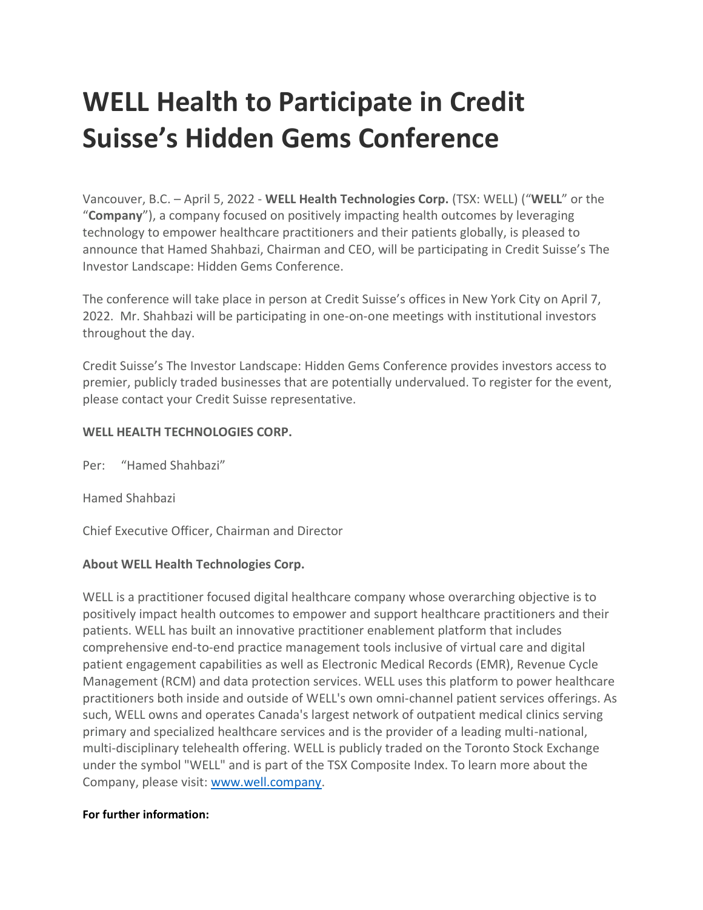## **WELL Health to Participate in Credit Suisse's Hidden Gems Conference**

Vancouver, B.C. – April 5, 2022 - **WELL Health Technologies Corp.** (TSX: WELL) ("**WELL**" or the "**Company**"), a company focused on positively impacting health outcomes by leveraging technology to empower healthcare practitioners and their patients globally, is pleased to announce that Hamed Shahbazi, Chairman and CEO, will be participating in Credit Suisse's The Investor Landscape: Hidden Gems Conference.

The conference will take place in person at Credit Suisse's offices in New York City on April 7, 2022. Mr. Shahbazi will be participating in one-on-one meetings with institutional investors throughout the day.

Credit Suisse's The Investor Landscape: Hidden Gems Conference provides investors access to premier, publicly traded businesses that are potentially undervalued. To register for the event, please contact your Credit Suisse representative.

## **WELL HEALTH TECHNOLOGIES CORP.**

Per: "Hamed Shahbazi"

Hamed Shahbazi

Chief Executive Officer, Chairman and Director

## **About WELL Health Technologies Corp.**

WELL is a practitioner focused digital healthcare company whose overarching objective is to positively impact health outcomes to empower and support healthcare practitioners and their patients. WELL has built an innovative practitioner enablement platform that includes comprehensive end-to-end practice management tools inclusive of virtual care and digital patient engagement capabilities as well as Electronic Medical Records (EMR), Revenue Cycle Management (RCM) and data protection services. WELL uses this platform to power healthcare practitioners both inside and outside of WELL's own omni-channel patient services offerings. As such, WELL owns and operates Canada's largest network of outpatient medical clinics serving primary and specialized healthcare services and is the provider of a leading multi-national, multi-disciplinary telehealth offering. WELL is publicly traded on the Toronto Stock Exchange under the symbol "WELL" and is part of the TSX Composite Index. To learn more about the Company, please visit: [www.well.company.](http://www.well.company/)

## **For further information:**